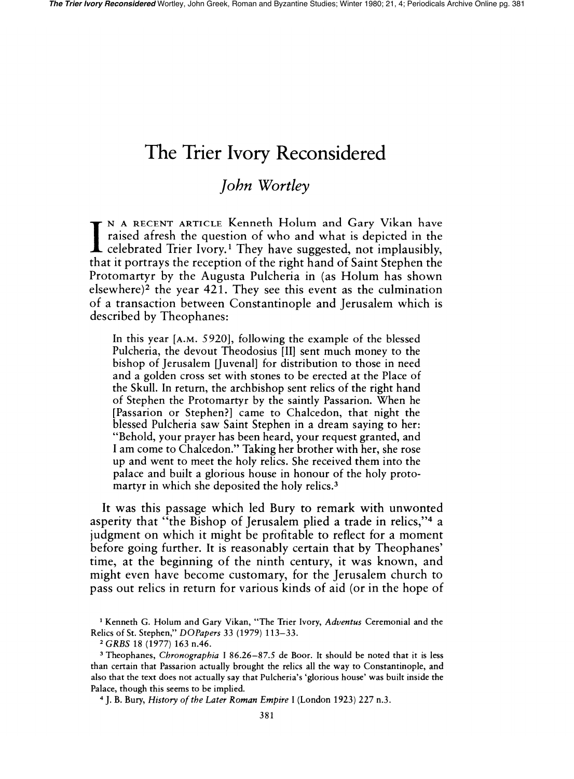## The **Trier Ivory Reconsidered**

## *John Wortley*

I N A RECENT ARTICLE Kenneth Holum and Gary Vikan have<br>raised afresh the question of who and what is depicted in the<br>celebrated Trier Ivory<sup>1</sup> They have suggested not implausibly celebrated Trier Ivory.1 They have suggested, not implausibly, that it portrays the reception of the right hand of Saint Stephen the Protomartyr by the Augusta Pulcheria in (as Holum has shown elsewhere)<sup>2</sup> the year 421. They see this event as the culmination of a transaction between Constantinople and Jerusalem which is described by Theophanes:

In this year [A.M. 5920], following the example of the blessed Pulcheria, the devout Theodosius [II] sent much money to the bishop of Jerusalem [Juvenal] for distribution to those in need and a golden cross set with stones to be erected at the Place of the Skull. In return, the archbishop sent relics of the right hand of Stephen the Protomartyr by the saintly Passarion. When he [Passarion or Stephen?] came to Chalcedon, that night the blessed Pulcheria saw Saint Stephen in a dream saying to her: "Behold, your prayer has been heard, your request granted, and I am come to Chalcedon." Taking her brother with her, she rose up and went to meet the holy relics. She received them into the palace and built a glorious house in honour of the holy protomartyr in which she deposited the holy relics.<sup>3</sup>

It was this passage which led Bury to remark with unwonted asperity that "the Bishop of Jerusalem plied a trade in relics,"4 a judgment on which it might be profitable to reflect for a moment before going further. It is reasonably certain that by Theophanes' time, at the beginning of the ninth century, it was known, and might even have become customary, for the Jerusalem church to pass out relics in return for various kinds of aid (or in the hope of

<sup>1</sup> Kenneth G. Holum and Gary Vikan, "The Trier Ivory, *Adventus* Ceremonial and the Relics of St. Stephen," *DOPapers* 33 (1979) 113-33.

<sup>2</sup>*GRBS* 18 (1977) 163 n.46.

<sup>3</sup> Theophanes, *Chronographia* I 86.26-87.5 de Boor. It should be noted that it is less than certain that Passarion actually brought the relics all the way to Constantinople, and also that the text does not actually say that Pulcheria's 'glorious house' was built inside the Palace, though this seems to be implied.

<sup>4</sup> J. B. Bury, *History of the Later Roman Empire* I (London 1923) 227 n.3.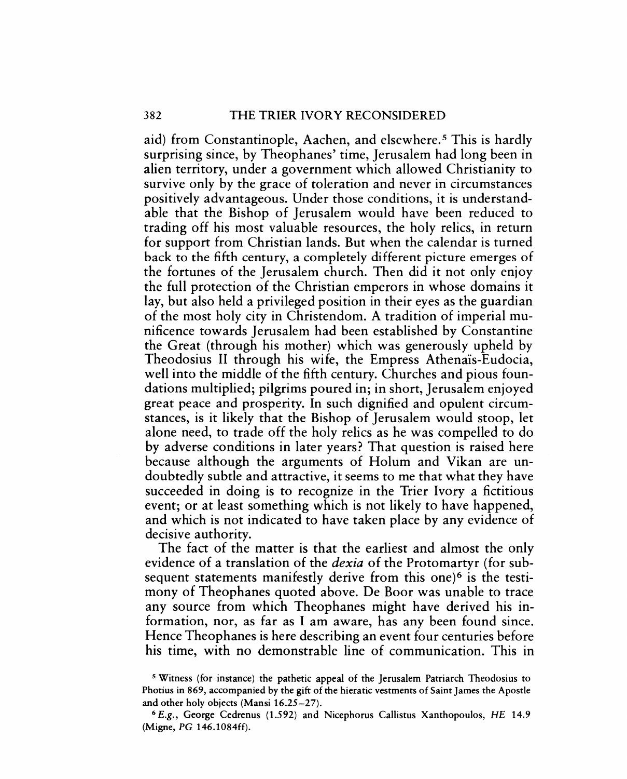aid) from Constantinople, Aachen, and elsewhere.<sup>5</sup> This is hardly surprising since, by Theophanes' time, Jerusalem had long been in alien territory, under a government which allowed Christianity to survive only by the grace of toleration and never in circumstances positively advantageous. Under those conditions, it is understandable that the Bishop of Jerusalem would have been reduced to trading off his most valuable resources, the holy relics, in return for support from Christian lands. But when the calendar is turned back to the fifth century, a completely different picture emerges of the fortunes of the Jerusalem church. Then did it not only enjoy the full protection of the Christian emperors in whose domains it lay, but also held a privileged position in their eyes as the guardian of the most holy city in Christendom. A tradition of imperial munificence towards Jerusalem had been established by Constantine the Great (through his mother) which was generously upheld by Theodosius II through his wife, the Empress Athenais-Eudocia, well into the middle of the fifth century. Churches and pious foundations multiplied; pilgrims poured in; in short, Jerusalem enjoyed great peace and prosperity. In such dignified and opulent circumstances, is it likely that the Bishop of Jerusalem would stoop, let alone need, to trade off the holy relics as he was compelled to do by adverse conditions in later years? That question is raised here because although the arguments of Holum and Vikan are undoubtedly subtle and attractive, it seems to me that what they have succeeded in doing is to recognize in the Trier Ivory a fictitious event; or at least something which is not likely to have happened, and which is not indicated to have taken place by any evidence of decisive authority.

The fact of the matter is that the earliest and almost the only evidence of a translation of the *dexia* of the Protomartyr (for subsequent statements manifestly derive from this one)<sup>6</sup> is the testimony of Theophanes quoted above. De Boor was unable to trace any source from which Theophanes might have derived his information, nor, as far as I am aware, has any been found since. Hence Theophanes is here describing an event four centuries before his time, with no demonstrable line of communication. This in

<sup>5</sup> Witness (for instance) the pathetic appeal of the Jerusalem Patriarch Theodosius to Photius in 869, accompanied by the gift of the hieratic vestments of Saint James the Apostle and other holy objects (Mansi 16.25-27).

<sup>6</sup> E.g., George Cedrenus (1.592) and Nicephorus Callistus Xanthopoulos, HE 14.9 (Migne, PC 146.1084ff).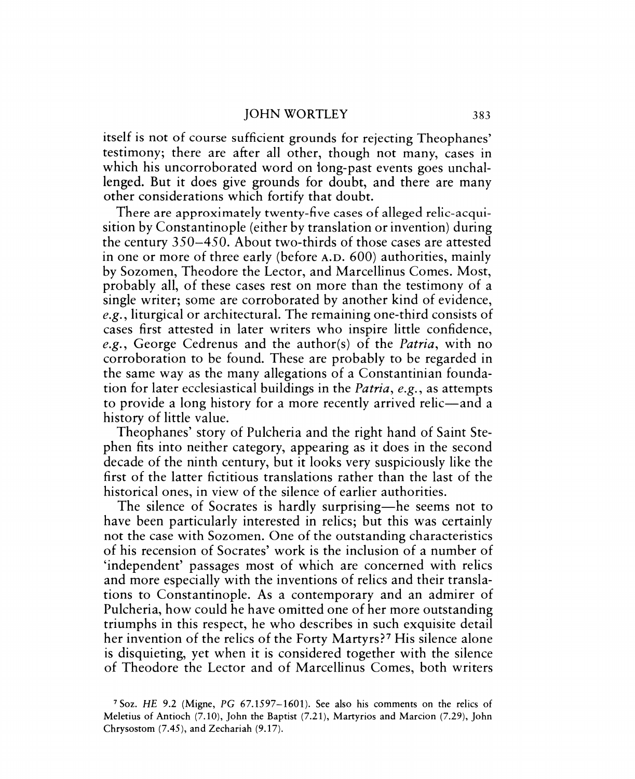itself is not of course sufficient grounds for rejecting Theophanes' testimony; there are after all other, though not many, cases in which his uncorroborated word on long-past events goes unchallenged. But it does give grounds for doubt, and there are many other considerations which fortify that doubt.

There are approximately twenty-five cases of alleged relic-acquisition by Constantinople (either by translation or invention) during the century 350-450. About two-thirds of those cases are attested in one or more of three early (before A.D. 600) authorities, mainly by Sozomen, Theodore the Lector, and Marcellinus Comes. Most, probably all, of these cases rest on more than the testimony of a single writer; some are corroborated by another kind of evidence, *e.g.,* liturgical or architectural. The remaining one-third consists of cases first attested in later writers who inspire little confidence, *e.g.,* George Cedrenus and the author(s) of the *Patria,* with no corroboration to be found. These are probably to be regarded in the same way as the many allegations of a Constantinian foundation for later ecclesiastical buildings in the *Patria, e.g.,* as attempts to provide a long history for a more recently arrived relic—and a history of little value.

Theophanes' story of Pulcheria and the right hand of Saint Stephen fits into neither category, appearing as it does in the second decade of the ninth century, but it looks very suspiciously like the first of the latter fictitious translations rather than the last of the historical ones, in view of the silence of earlier authorities.

The silence of Socrates is hardly surprising—he seems not to have been particularly interested in relics; but this was certainly not the case with Sozomen. One of the outstanding characteristics of his recension of Socrates' work is the inclusion of a number of 'independent' passages most of which are concerned with relics and more especially with the inventions of relics and their translations to Constantinople. As a contemporary and an admirer of Pulcheria, how could he have omitted one of her more outstanding triumphs in this respect, he who describes in such exquisite detail her invention of the relics of the Forty Martyrs?7 His silence alone is disquieting, yet when it is considered together with the silence of Theodore the Lector and of Marcellinus Comes, both writers

<sup>7</sup>Soz. HE 9.2 (Migne, PC 67.1597-1601). See also his comments on the relics of Meletius of Antioch (7.10), John the Baptist (7.21), Martyrios and Marcion (7.29), John Chrysostom (7.45), and Zechariah (9.17).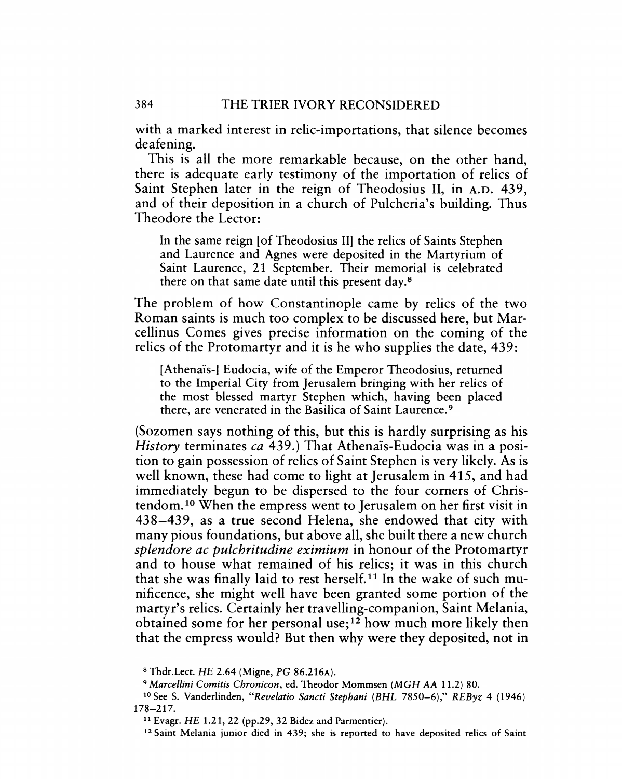with a marked interest in relic-importations, that silence becomes deafening.

This is all the more remarkable because, on the other hand, there is adequate early testimony of the importation of relics of Saint Stephen later in the reign of Theodosius II, in A.D. 439, and of their deposition in a church of Pulcheria's building. Thus Theodore the Lector:

In the same reign [of Theodosius II] the relics of Saints Stephen and Laurence and Agnes were deposited in the Martyrium of Saint Laurence, 21 September. Their memorial is celebrated there on that same date until this present day.<sup>8</sup>

The problem of how Constantinople came by relics of the two Roman saints is much too complex to be discussed here, but Marcellinus Comes gives precise information on the coming of the relics of the Protomartyr and it is he who supplies the date, 439:

[Athenais-] Eudocia, wife of the Emperor Theodosius, returned to the Imperial City from Jerusalem bringing with her relics of the most blessed martyr Stephen which, having been placed there, are venerated in the Basilica of Saint Laurence. 9

(Sozomen says nothing of this, but this is hardly surprising as his *History* terminates *ca* 439.) That Athenais-Eudocia was in a position to gain possession of relics of Saint Stephen is very likely. As is well known, these had come to light at Jerusalem in 415, and had immediately begun to be dispersed to the four corners of Christendom. 10 When the empress went to Jerusalem on her first visit in 438-439, as a true second Helena, she endowed that city with many pious foundations, but above all, she built there a new church *splendore ac pulchritudine eximium* in honour of the Protomartyr and to house what remained of his relics; it was in this church that she was finally laid to rest herself. 11 In the wake of such munificence, she might well have been granted some portion of the martyr's relics. Certainly her travelling-companion, Saint Melania, obtained some for her personal use;<sup>12</sup> how much more likely then that the empress would? But then why were they deposited, not in

8 Thdr.Lect. HE 2.64 (Migne, *PC* 86.216A).

<sup>9</sup>*Marcel/ini Comitis Chronicon,* ed. Theodor Mommsen *(MGH AA* 11.2) 80.

<sup>10</sup> See S. Vanderlinden, *"Revelatio Sancti Stephani (BHL* 7850-6)," *REByz* 4 (1946) 178-217.

<sup>11</sup>Evagr. HE 1.21, 22 (pp.29, 32 Bidez and Parmentier).

<sup>12</sup> Saint Melania junior died in 439; she is reported to have deposited relics of Saint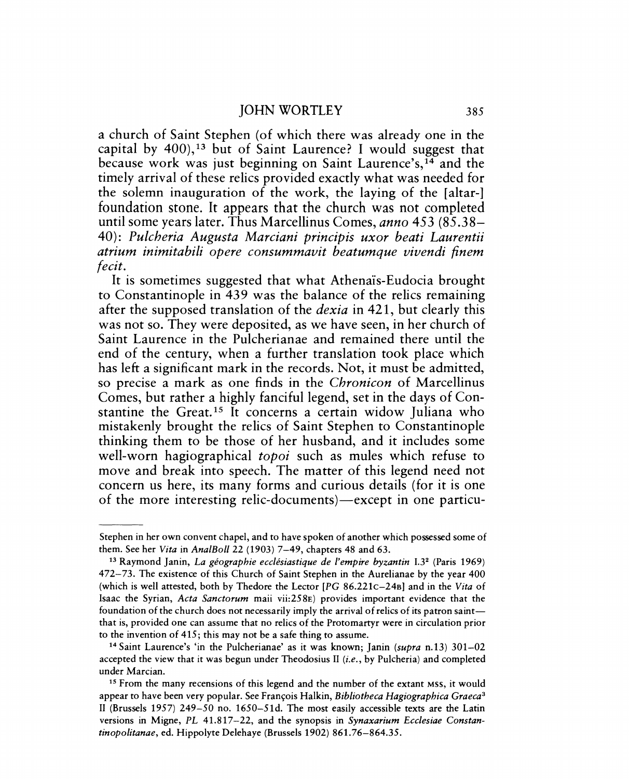a church of Saint Stephen (of which there was already one in the capital by  $400$ ,<sup>13</sup> but of Saint Laurence? I would suggest that because work was just beginning on Saint Laurence's,14 and the timely arrival of these relics provided exactly what was needed for the solemn inauguration of the work, the laying of the [altar-] foundation stone. It appears that the church was not completed until some years later. Thus Marcellinus Comes, *anno* 453 (85.38- *40): Pulcheria Augusta Marciani principis uxor beati Laurentii atrium inimitabili opere consummavit beatumque vivendi {inem fecit.* 

It is sometimes suggested that what Athenais-Eudocia brought to Constantinople in 439 was the balance of the relics remaining after the supposed translation of the *dexia* in 421, but clearly this was not so. They were deposited, as we have seen, in her church of Saint Laurence in the Pulcherianae and remained there until the end of the century, when a further translation took place which has left a significant mark in the records. Not, it must be admitted, so precise a mark as one finds in the *Chronicon* of Marcellinus Comes, but rather a highly fanciful legend, set in the days of Constantine the Great.<sup>15</sup> It concerns a certain widow Juliana who mistakenly brought the relics of Saint Stephen to Constantinople thinking them to be those of her husband, and it includes some well-worn hagiographical *topoi* such as mules which refuse to move and break into speech. The matter of this legend need not concern us here, its many forms and curious details (for it is one of the more interesting relic-documents)—except in one particu-

Stephen in her own convent chapel, and to have spoken of another which possessed some of them. See her *Vita* in *Ana/Boll* 22 (1903) 7-49, chapters 48 and 63.

<sup>13</sup> Raymond Janin, *La geographie ecciesiastique de {'empire byzantin* 1.32 (Paris 1969) 472-73. The existence of this Church of Saint Stephen in the Aurelianae by the year 400 (which is well attested, both by Thedore the Lector *[PG* 86.221c-24s] and in the *Vita* of Isaac the Syrian, *Acta Sanctorum* maii vii:258E) provides important evidence that the foundation of the church does not necessarily imply the arrival of relics of its patron saintthat is, provided one can assume that no relics of the Proto martyr were in circulation prior to the invention of 415; this may not be a safe thing to assume.

<sup>14</sup> Saint Laurence's 'in the Pulcherianae' as it was known; Janin *(supra* n.13) 301-02 accepted the view that it was begun under Theodosius II (i.e., by Pulcheria) and completed under Marcian.

<sup>&</sup>lt;sup>15</sup> From the many recensions of this legend and the number of the extant MSS, it would appear to have been very popular. See Fran~ois Halkin, *Bibliotheca Hagiographica Graeca3*  II (Brussels 1957) 249-50 no. 1650-51d. The most easily accessible texts are the Latin versions in Migne, *PL* 41.817-22, and the synopsis in *Synaxarium Ecclesiae Constantinopolitanae,* ed. Hippolyte Delehaye (Brussels 1902) 861.76-864.35.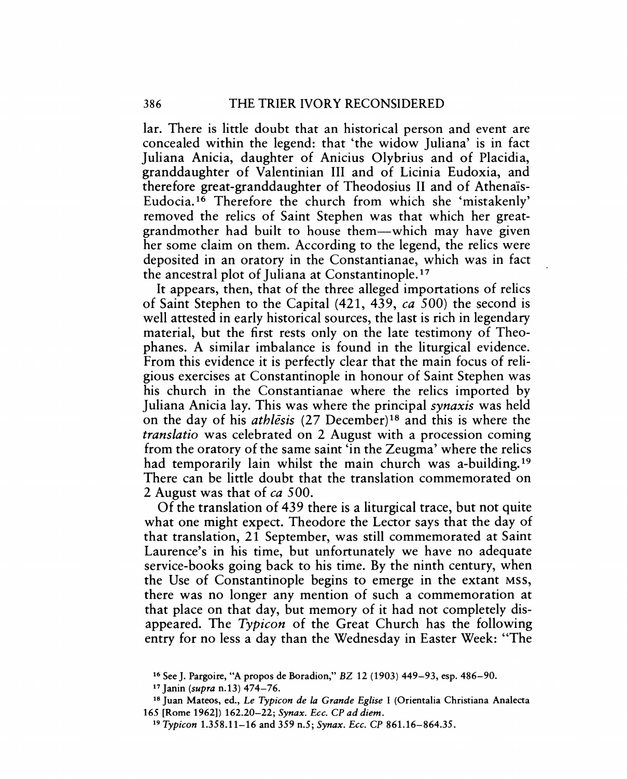lar. There is little doubt that an historical person and event are concealed within the legend: that 'the widow Juliana' is in fact Juliana Anicia, daughter of Anicius Olybrius and of Placidia, granddaughter of Valentinian III and of Licinia Eudoxia, and therefore great-granddaughter of Theodosius II and of Athenaïs-Eudocia. 16 Therefore the church from which she 'mistakenly' removed the relics of Saint Stephen was that which her greatgrandmother had built to house them-which may have given her some claim on them. According to the legend, the relics were deposited in an oratory in the Constantianae, which was in fact the ancestral plot of Juliana at Constantinople. 17

It appears, then, that of the three alleged importations of relics of Saint Stephen to the Capital (421, 439, *ca* 500) the second is well attested in early historical sources, the last is rich in legendary material, but the first rests only on the late testimony of Theophanes. A similar imbalance is found in the liturgical evidence. From this evidence it is perfectly clear that the main focus of religious exercises at Constantinople in honour of Saint Stephen was his church in the Constantianae where the relics imported by Juliana Anicia lay. This was where the principal *synaxis* was held on the day of his *athlesis* (27 December)18 and this is where the *translatio* was celebrated on 2 August with a procession coming from the oratory of the same saint 'in the Zeugma' where the relics had temporarily lain whilst the main church was a-building.<sup>19</sup> There can be little doubt that the translation commemorated on 2 August was that of *ca 500.* 

Of the translation of 439 there is a liturgical trace, but not quite what one might expect. Theodore the Lector says that the day of that translation, 21 September, was still commemorated at Saint Laurence's in his time, but unfortunately we have no adequate service-books going back to his time. By the ninth century, when the Use of Constantinople begins to emerge in the extant MSS, there was no longer any mention of such a commemoration at that place on that day, but memory of it had not completely disappeared. The *Typicon* of the Great Church has the following entry for no less a day than the Wednesday in Easter Week: "The

<sup>16</sup> See J. Pargoire, "A propos de Boradion," BZ 12 (1903) 449-93, esp. 486-90.

<sup>17</sup> Janin *(supra* n.13) 474-76.

<sup>18</sup> Juan Mateos, ed., *Le Typicon de La Grande EgLise* I (Orientalia Christiana Analecta 165 [Rome 1962]) 162.20-22; *Synax. Ecc.* CP *ad diem.* 

*<sup>19</sup> Typicon* 1.358.11-16 and 359 n.5; *Synax. Ecc.* CP 861.16-864.35.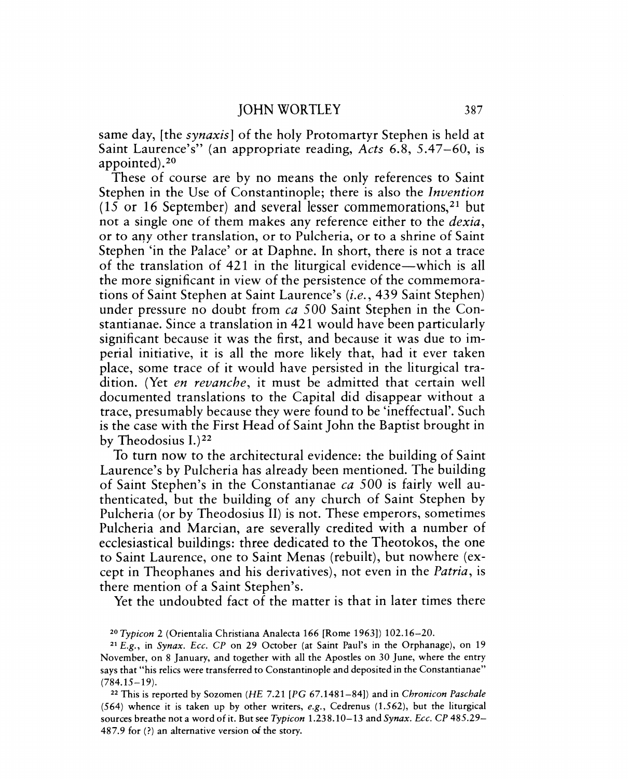same day, [the *synaxis]* of the holy Protomartyr Stephen is held at Saint Laurence's" (an appropriate reading, *Acts* 6.8, 5.47-60, is appointed).20

These of course are by no means the only references to Saint Stephen in the Use of Constantinople; there is also the *Invention*  (15 or 16 September) and several lesser commemorations,  $21$  but not a single one of them makes any reference either to the *dexia,*  or to any other translation, or to Pulcheria, or to a shrine of Saint Stephen 'in the Palace' or at Daphne. In short, there is not a trace of the translation of 421 in the liturgical evidence—which is all the more significant in view of the persistence of the commemorations of Saint Stephen at Saint Laurence's (i.e., 439 Saint Stephen) under pressure no doubt from *ca* 500 Saint Stephen in the Constantianae. Since a translation in 421 would have been particularly significant because it was the first, and because it was due to imperial initiative, it is all the more likely that, had it ever taken place, some trace of it would have persisted in the liturgical tradition. (Yet *en revanche,* it must be admitted that certain well documented translations to the Capital did disappear without a trace, presumably because they were found to be 'ineffectual'. Such is the case with the First Head of Saint John the Baptist brought in by Theodosius  $I^{22}$ 

To turn now to the architectural evidence: the building of Saint Laurence's by Pulcheria has already been mentioned. The building of Saint Stephen's in the Constantianae *ca* 500 is fairly well authenticated, but the building of any church of Saint Stephen by Pulcheria (or by Theodosius II) is not. These emperors, sometimes Pulcheria and Marcian, are severally credited with a number of ecclesiastical buildings: three dedicated to the Theotokos, the one to Saint Laurence, one to Saint Menas (rebuilt), but nowhere (except in Theophanes and his derivatives), not even in the *Patria,* is there mention of a Saint Stephen's.

Yet the undoubted fact of the matter is that in later times there

<sup>20</sup>*Typicon* 2 (Orientalia Christiana Analecta 166 [Rome 1963]) 102.16-20.

<sup>21</sup>*E.g.,* in *Synax. Ecc. CP* on 29 October (at Saint Paul's in the Orphanage), on 19 November, on 8 January, and together with all the Apostles on 30 June, where the entry says that "his relics were transferred to Constantinople and deposited in the Constantianae"  $(784.15 - 19)$ .

<sup>22</sup> This is reported by Sozomen *(HE* 7.21 *[PC* 67.1481-84]) and in *Chronicon Paschale*  (564) whence it is taken up by other writers, *e.g.,* Cedrenus (1.562), but the liturgical sources breathe not a word of it. But see *Typicon* 1.238.10-13 and *Synax. Ecc.* CP 485.29- 487.9 for (?) an alternative version of the story.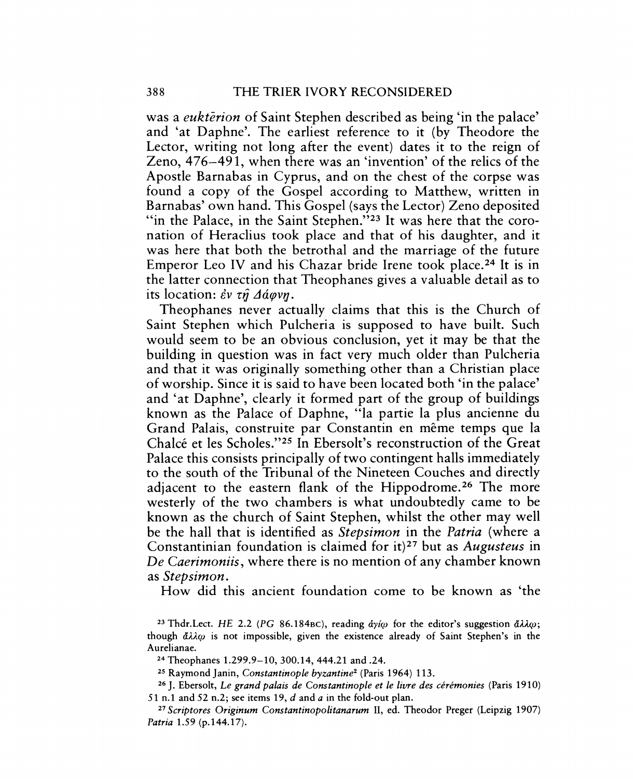was a *eukterion* of Saint Stephen described as being 'in the palace' and 'at Daphne'. The earliest reference to it (by Theodore the Lector, writing not long after the event) dates it to the reign of Zeno, 476-491, when there was an 'invention' of the relics of the Apostle Barnabas in Cyprus, and on the chest of the corpse was found a copy of the Gospel according to Matthew, written in Barnabas' own hand. This Gospel (says the Lector) Zeno deposited "in the Palace, in the Saint Stephen."<sup>23</sup> It was here that the coronation of Heraclius took place and that of his daughter, and it was here that both the betrothal and the marriage of the future Emperor Leo IV and his Chazar bride Irene took place.<sup>24</sup> It is in the latter connection that Theophanes gives a valuable detail as to its location:  $\partial v \tau \hat{\eta} \Delta \hat{\alpha} \varphi v \hat{\eta}$ .

Theophanes never actually claims that this is the Church of Saint Stephen which Pulcheria is supposed to have built. Such would seem to be an obvious conclusion, yet it may be that the building in question was in fact very much older than Pulcheria and that it was originally something other than a Christian place of worship. Since it is said to have been located both 'in the palace' and 'at Daphne', clearly it formed part of the group of buildings known as the Palace of Daphne, "la partie la plus ancienne du Grand Palais, construite par Constantin en même temps que la Chalce et les Scholes."25 In Ebersolt's reconstruction of the Great Palace this consists principally of two contingent halls immediately to the south of the Tribunal of the Nineteen Couches and directly adjacent to the eastern flank of the Hippodrome.<sup>26</sup> The more westerly of the two chambers is what undoubtedly came to be known as the church of Saint Stephen, whilst the other may well be the hall that is identified as *Stepsimon* in the *Patria* (where a Constantinian foundation is claimed for it)27 but as *Augusteus* in *De Caerimoniis,* where there is no mention of any chamber known as *Stepsimon.* 

How did this ancient foundation come to be known as 'the

24 Theophanes 1.299.9-10,300.14,444.21 and .24.

<sup>25</sup> Raymond Janin, *Constantinople byzantine<sup>2</sup>* (Paris 1964) 113.

26 J. Ebersolt, *Le grand palais de Constantinople et Ie livre des ceremonies* (Paris 1910) 51 n.1 and 52 n.2; see items 19, *d* and *a* in the fold-out plan.

*27 Scriptores Originum Constantinopolitanarum* II, ed. Theodor Preger (Leipzig 1907) *Patria* 1.59 (p.144.17).

<sup>&</sup>lt;sup>23</sup> Thdr.Lect. *HE* 2.2 *(PG 86.184BC)*, reading  $\dot{a}\dot{\gamma}\dot{\omega}$  for the editor's suggestion  $\ddot{a}\lambda\lambda\omega$ ; though  $\tilde{\alpha}\lambda\lambda\omega$  is not impossible, given the existence already of Saint Stephen's in the Aurelianae.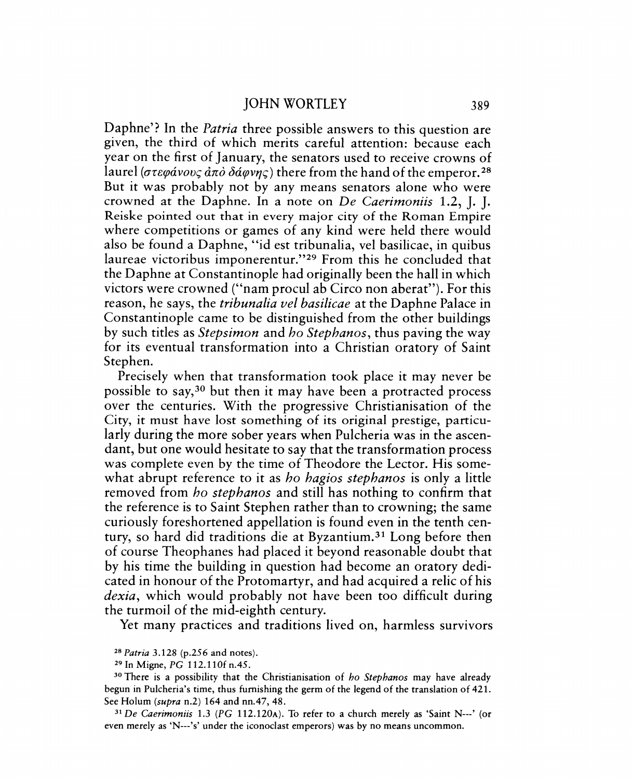Daphne'? In the *Patria* three possible answers to this question are given, the third of which merits careful attention: because each year on the first of January, the senators used to receive crowns of laurel ( $\sigma \tau \epsilon \varphi \acute{a} \nu \nu \varsigma \dot{\alpha} \pi \dot{\sigma} \delta \acute{a} \varphi \nu \eta \varsigma$ ) there from the hand of the emperor. <sup>28</sup> But it was probably not by any means senators alone who were crowned at the Daphne. In a note on *De Caerimoniis* 1.2, J. J. Reiske pointed out that in every major city of the Roman Empire where competitions or games of any kind were held there would also be found a Daphne, "id est tribunalia, vel basilicae, in quibus laureae victoribus imponerentur."29 From this he concluded that the Daphne at Constantinople had originally been the hall in which victors were crowned ("nam procul ab Circo non aberat"). For this reason, he says, the *tribunalia vel basilicae* at the Daphne Palace in Constantinople came to be distinguished from the other buildings by such titles as *Stepsimon* and *ho Stephanos,* thus paving the way for its eventual transformation into a Christian oratory of Saint Stephen.

Precisely when that transformation took place it may never be possible to say,<sup>30</sup> but then it may have been a protracted process over the centuries. With the progressive Christianisation of the City, it must have lost something of its original prestige, particularly during the more sober years when Pulcheria was in the ascendant, but one would hesitate to say that the transformation process was complete even by the time of Theodore the Lector. His somewhat abrupt reference to it as *ho hagios stephanos* is only a little removed from *ho stephanos* and still has nothing to confirm that the reference is to Saint Stephen rather than to crowning; the same curiously foreshortened appellation is found even in the tenth century, so hard did traditions die at Byzantium.31 Long before then of course Theophanes had placed it beyond reasonable doubt that by his time the building in question had become an oratory dedicated in honour of the Protomartyr, and had acquired a relic of his *dexia,* which would probably not have been too difficult during the turmoil of the mid-eighth century.

Yet many practices and traditions lived on, harmless survivors

*31 De Caerimoniis* 1.3 *(PC* 112.120A). To refer to a church merely as 'Saint N---' (or even merely as 'N---'s' under the iconoclast emperors) was by no means uncommon.

<sup>&</sup>lt;sup>28</sup> Patria 3.128 (p.256 and notes).

<sup>29</sup> In Migne, PC 112.11 Of *n.4S.* 

<sup>30</sup> There is a possibility that the Christianisation of *ho Stephanos* may have already begun in Pulcheria's time, thus furnishing the germ of the legend of the translation of 421. See Holum *(supra* n.2) 164 and nn.47, 48.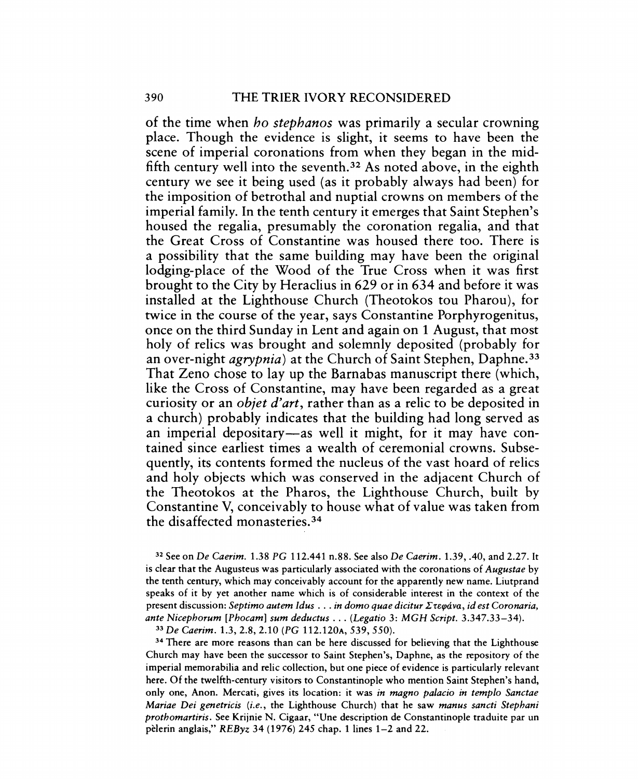of the time when *ho stephanos* was primarily a secular crowning place. Though the evidence is slight, it seems to have been the scene of imperial coronations from when they began in the midfifth century well into the seventh. 32 As noted above, in the eighth century we see it being used (as it probably always had been) for the imposition of betrothal and nuptial crowns on members of the imperial family. In the tenth century it emerges that Saint Stephen's housed the regalia, presumably the coronation regalia, and that the Great Cross of Constantine was housed there too. There is a possibility that the same building may have been the original lodging-place of the Wood of the True Cross when it was first brought to the City by Heraclius in 629 or in 634 and before it was installed at the Lighthouse Church (Theotokos tou Pharou), for twice in the course of the year, says Constantine Porphyrogenitus, once on the third Sunday in Lent and again on 1 August, that most holy of relics was brought and solemnly deposited (probably for an over-night *agrypnia)* at the Church of Saint Stephen, Daphne. <sup>33</sup> That Zeno chose to lay up the Barnabas manuscript there (which, like the Cross of Constantine, may have been regarded as a great curiosity or an *objet d'art,* rather than as a relic to be deposited in a church) probably indicates that the building had long served as an imperial depositary—as well it might, for it may have contained since earliest times a wealth of ceremonial crowns. Subsequently, its contents formed the nucleus of the vast hoard of relics and holy objects which was conserved in the adjacent Church of the Theotokos at the Pharos, the Lighthouse Church, built by Constantine V, conceivably to house what of value was taken from the disaffected monasteries. 34

32 See on *De Caerim.* 1.38 PC 112.441 n.88. See also *De Caerim.* 1.39, .40, and 2.27. It is clear that the Augusteus was particularly associated with the coronations of *Augustae* by the tenth century, which may conceivably account for the apparently new name. Liutprand speaks of it by yet another name which is of considerable interest in the context of the present discussion: *Septimo autem Idus ... in domo quae dicitur Στεφάνα, id est Coronaria, ante Nicephorum [Phocaml sum deductus* ... *(Legatio* 3: *MCH Script. 3.347.33-34).* 

*33 De Caerim.* 1.3,2.8,2.10 *(PC* 112.120A, 539,550).

<sup>34</sup> There are more reasons than can be here discussed for believing that the Lighthouse Church may have been the successor to Saint Stephen's, Daphne, as the repository of the imperial memorabilia and relic collection, but one piece of evidence is particularly relevant here. Of the twelfth-century visitors to Constantinople who mention Saint Stephen's hand, only one, Anon. Mercati, gives its location: it was *in magno palacio in templo Sanctae Mariae Dei genetricis (i.e.,* the Lighthouse Church) that he saw *manus sancti Stephani prothomartiris.* See Krijnie N. Cigaar, "Une description de Constantinople traduite par un pèlerin anglais,"  $REByz$  34 (1976) 245 chap. 1 lines 1–2 and 22.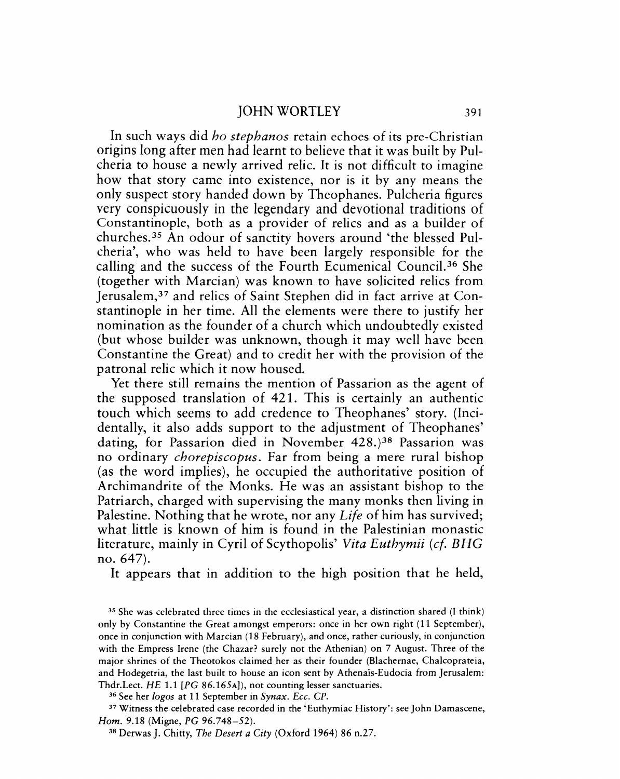In such ways did *ho stephanos* retain echoes of its pre-Christian origins long after men had learnt to believe that it was built by Pulcheria to house a newly arrived relic. It is not difficult to imagine how that story came into existence, nor is it by any means the only suspect story handed down by Theophanes. Pulcheria figures very conspicuously in the legendary and devotional traditions of Constantinople, both as a provider of relics and as a builder of churches. 35 An odour of sanctity hovers around 'the blessed Pulcheria', who was held to have been largely responsible for the calling and the success of the Fourth Ecumenical Council. 36 She (together with Marcian) was known to have solicited relics from Jerusalem,37 and relics of Saint Stephen did in fact arrive at Constantinople in her time. All the elements were there to justify her nomination as the founder of a church which undoubtedly existed (but whose builder was unknown, though it may well have been Constantine the Great) and to credit her with the provision of the patronal relic which it now housed.

Yet there still remains the mention of Passarion as the agent of the supposed translation of 421. This is certainly an authentic touch which seems to add credence to Theophanes' story. (Incidentally, it also adds support to the adjustment of Theophanes' dating, for Passarion died in November 428.)<sup>38</sup> Passarion was no ordinary *chorepiscopus.* Far from being a mere rural bishop (as the word implies), he occupied the authoritative position of Archimandrite of the Monks. He was an assistant bishop to the Patriarch, charged with supervising the many monks then living in Palestine. Nothing that he wrote, nor any *Life* of him has survived; what little is known of him is found in the Palestinian monastic literature, mainly in Cyril of Scythopolis' *Vita Euthymii (cf BHG*  no. 647).

It appears that in addition to the high position that he held,

<sup>36</sup> See her *logos* at 11 September in *Synax. Ecc. CP.* 

<sup>37</sup>Witness the celebrated case recorded in the 'Euthymiac History': see John Damascene, Hom. 9.18 (Migne, *PC* 96.748-52).

<sup>35</sup> She was celebrated three times in the ecclesiastical year, a distinction shared (I think) only by Constantine the Great amongst emperors: once in her own right (11 September), once in conjunction with Marcian (18 February), and once, rather curiously, in conjunction with the Empress Irene (the Chazar? surely not the Athenian) on 7 August. Three of the major shrines of the Theotokos claimed her as their founder (Blachernae, Chalcoprateia, and Hodegetria, the last built to house an icon sent by Athenais-Eudocia from Jerusalem: Thdr.Lect. HE 1.1 *[PC* 86.165A]), not counting lesser sanctuaries.

<sup>38</sup> Derwas]. Chitty, *The Desert a City* (Oxford 1964) 86 n.27.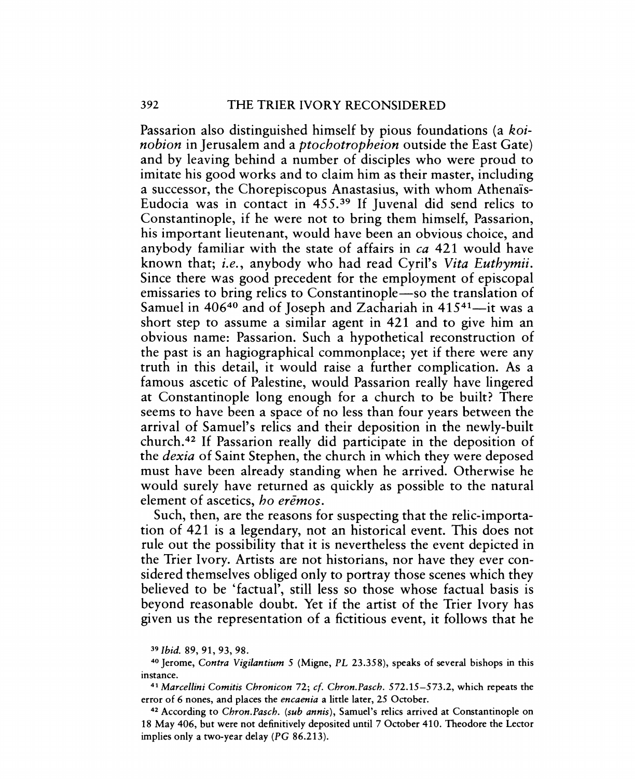## 392 THE TRIER IVORY RECONSIDERED

Passarion also distinguished himself by pious foundations (a *koinobion* in Jerusalem and a *ptochotropheion* outside the East Gate) and by leaving behind a number of disciples who were proud to imitate his good works and to claim him as their master, including a successor, the Chorepiscopus Anastasius, with whom Athenais-Eudocia was in contact in  $455<sup>39</sup>$  If Juvenal did send relics to Constantinople, if he were not to bring them himself, Passarion, his important lieutenant, would have been an obvious choice, and anybody familiar with the state of affairs in *ca* 421 would have known that; *i.e.,* anybody who had read Cyril's *Vita Euthymii.*  Since there was good precedent for the employment of episcopal emissaries to bring relics to Constantinople—so the translation of Samuel in  $406^{40}$  and of Joseph and Zachariah in  $415^{41}$ —it was a short step to assume a similar agent in 421 and to give him an obvious name: Passarion. Such a hypothetical reconstruction of the past is an hagiographical commonplace; yet if there were any truth in this detail, it would raise a further complication. As a famous ascetic of Palestine, would Passarion really have lingered at Constantinople long enough for a church to be built? There seems to have been a space of no less than four years between the arrival of Samuel's relics and their deposition in the newly-built church. 42 If Passarion really did participate in the deposition of the *dexia* of Saint Stephen, the church in which they were deposed must have been already standing when he arrived. Otherwise he would surely have returned as quickly as possible to the natural element of ascetics, *ho eremos.* 

Such, then, are the reasons for suspecting that the relic-importation of 421 is a legendary, not an historical event. This does not rule out the possibility that it is nevertheless the event depicted in the Trier Ivory. Artists are not historians, nor have they ever considered themselves obliged only to portray those scenes which they believed to be 'factual', still less so those whose factual basis is beyond reasonable doubt. Yet if the artist of the Trier Ivory has given us the representation of a fictitious event, it follows that he

<sup>39</sup>*Ibid.* 89, 91, 93, 98.

<sup>41</sup>*Marcel/ini Comitis Chronicon* 72; cf. *Chron.Pasch.* 572.15-573.2, which repeats the error of 6 nones, and places the *encaenia* a little later, 25 October.

42 According to *Chron.Pasch. (sub annis),* Samuel's relics arrived at Constantinople on 18 May 406, but were not definitively deposited until 7 October 410. Theodore the Lector implies only a two-year delay *(PC 86.213).* 

<sup>40</sup> Jerome, *Contra Vigilantium* 5 (Migne, PL 23.358), speaks of several bishops in this instance.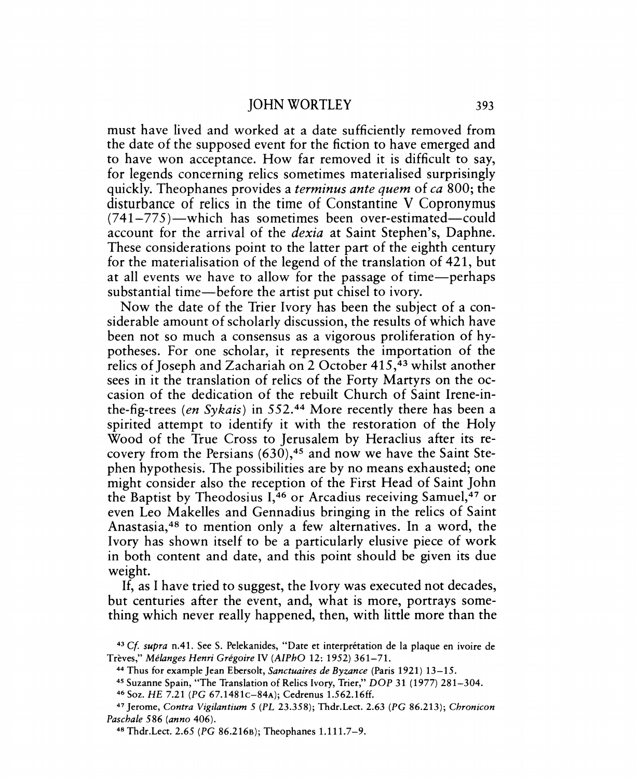must have lived and worked at a date sufficiently removed from the date of the supposed event for the fiction to have emerged and to have won acceptance. How far removed it is difficult to say, for legends concerning relics sometimes materialised surprisingly quickly. Theophanes provides a *terminus ante quem* of *ca* 800; the disturbance of relics in the time of Constantine V Copronymus  $(741-775)$  -which has sometimes been over-estimated-could account for the arrival of the *dexia* at Saint Stephen's, Daphne. These considerations point to the latter part of the eighth century for the materialisation of the legend of the translation of 421, but at all events we have to allow for the passage of time-perhaps substantial time-before the artist put chisel to ivory.

Now the date of the Trier Ivory has been the subject of a considerable amount of scholarly discussion, the results of which have been not so much a consensus as a vigorous proliferation of hypotheses. For one scholar, it represents the importation of the relics of Joseph and Zachariah on 2 October 415,43 whilst another sees in it the translation of relics of the Forty Martyrs on the occasion of the dedication of the rebuilt Church of Saint Irene-inthe-fig-trees *(en Sykais)* in 552.44 More recently there has been a spirited attempt to identify it with the restoration of the Holy Wood of the True Cross to Jerusalem by Heraclius after its recovery from the Persians  $(630)$ ,<sup>45</sup> and now we have the Saint Stephen hypothesis. The possibilities are by no means exhausted; one might consider also the reception of the First Head of Saint John the Baptist by Theodosius 1,46 or Arcadius receiving Samuel,47 or even Leo Makelles and Gennadius bringing in the relics of Saint Anastasia,48 to mention only a few alternatives. In a word, the Ivory has shown itself to be a particularly elusive piece of work in both content and date, and this point should be given its due weight.

If, as I have tried to suggest, the Ivory was executed not decades, but centuries after the event, and, what is more, portrays something which never really happened, then, with little more than the

*<sup>43</sup> Cf supra* n.41. See s. Pelekanides, "Date et interpretation de la plaque en ivoire de Treves," *Melanges Henri Gregoire* IV *(AlPhO* 12: 1952) 361-71.

<sup>44</sup> Thus for example Jean Ebersolt, *Sanctuaires de Byzance* (Paris 1921) 13-15.

<sup>45</sup> Suzanne Spain, "The Translation of Relics Ivory, Trier," *DOP* 31 (1977) 281-304.

<sup>46</sup>Soz. HE 7.21 *(PG* 67.1481c-84A); Cedrenus 1.562.16ff.

<sup>47</sup> Jerome, *Contra Vigilantium* 5 *(PL* 23.358); Thdr.Lect. 2.63 *(PC* 86.213); *Chronicon Paschale* 586 *(anna* 406).

<sup>48</sup> Thdr.Lect. 2.65 *(PG* 86.216s); Theophanes 1.111.7-9.